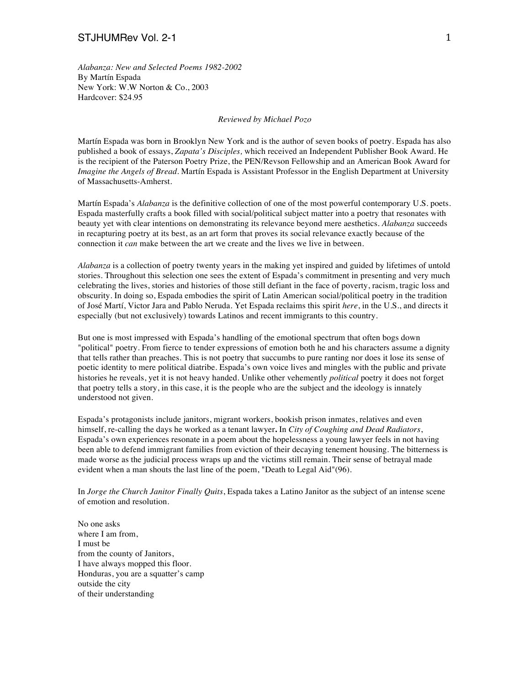## STJHUMRev Vol. 2-1 1 1 1 1 200 1 200 1 200 1 200 1 200 1 200 1 200 1 200 1 200 1 200 1 200 1 200 1 200 1 200 1

*Alabanza: New and Selected Poems 1982-2002* By Martín Espada New York: W.W Norton & Co., 2003 Hardcover: \$24.95

## *Reviewed by Michael Pozo*

Martín Espada was born in Brooklyn New York and is the author of seven books of poetry. Espada has also published a book of essays, *Zapata's Disciples,* which received an Independent Publisher Book Award. He is the recipient of the Paterson Poetry Prize, the PEN/Revson Fellowship and an American Book Award for *Imagine the Angels of Bread*. Martín Espada is Assistant Professor in the English Department at University of Massachusetts-Amherst.

Martín Espada's *Alabanza* is the definitive collection of one of the most powerful contemporary U.S. poets. Espada masterfully crafts a book filled with social/political subject matter into a poetry that resonates with beauty yet with clear intentions on demonstrating its relevance beyond mere aesthetics. *Alabanza* succeeds in recapturing poetry at its best, as an art form that proves its social relevance exactly because of the connection it *can* make between the art we create and the lives we live in between.

*Alabanza* is a collection of poetry twenty years in the making yet inspired and guided by lifetimes of untold stories. Throughout this selection one sees the extent of Espada's commitment in presenting and very much celebrating the lives, stories and histories of those still defiant in the face of poverty, racism, tragic loss and obscurity. In doing so, Espada embodies the spirit of Latin American social/political poetry in the tradition of José Martí, Victor Jara and Pablo Neruda. Yet Espada reclaims this spirit *here*, in the U.S., and directs it especially (but not exclusively) towards Latinos and recent immigrants to this country.

But one is most impressed with Espada's handling of the emotional spectrum that often bogs down "political" poetry. From fierce to tender expressions of emotion both he and his characters assume a dignity that tells rather than preaches. This is not poetry that succumbs to pure ranting nor does it lose its sense of poetic identity to mere political diatribe. Espada's own voice lives and mingles with the public and private histories he reveals, yet it is not heavy handed. Unlike other vehemently *political* poetry it does not forget that poetry tells a story, in this case, it is the people who are the subject and the ideology is innately understood not given.

Espada's protagonists include janitors, migrant workers, bookish prison inmates, relatives and even himself, re-calling the days he worked as a tenant lawyer**.** In *City of Coughing and Dead Radiators*, Espada's own experiences resonate in a poem about the hopelessness a young lawyer feels in not having been able to defend immigrant families from eviction of their decaying tenement housing. The bitterness is made worse as the judicial process wraps up and the victims still remain. Their sense of betrayal made evident when a man shouts the last line of the poem, "Death to Legal Aid"(96).

In *Jorge the Church Janitor Finally Quits*, Espada takes a Latino Janitor as the subject of an intense scene of emotion and resolution.

No one asks where I am from, I must be from the county of Janitors, I have always mopped this floor. Honduras, you are a squatter's camp outside the city of their understanding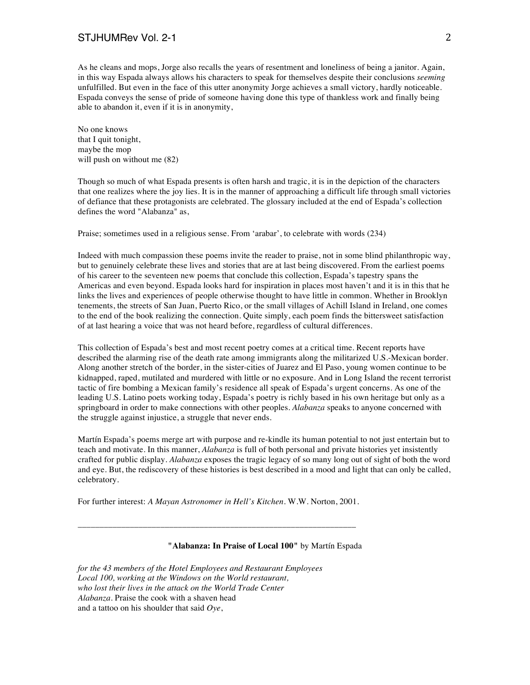As he cleans and mops, Jorge also recalls the years of resentment and loneliness of being a janitor. Again, in this way Espada always allows his characters to speak for themselves despite their conclusions *seeming* unfulfilled. But even in the face of this utter anonymity Jorge achieves a small victory, hardly noticeable. Espada conveys the sense of pride of someone having done this type of thankless work and finally being able to abandon it, even if it is in anonymity,

No one knows that I quit tonight, maybe the mop will push on without me (82)

Though so much of what Espada presents is often harsh and tragic, it is in the depiction of the characters that one realizes where the joy lies. It is in the manner of approaching a difficult life through small victories of defiance that these protagonists are celebrated. The glossary included at the end of Espada's collection defines the word "Alabanza" as,

Praise; sometimes used in a religious sense. From 'arabar', to celebrate with words (234)

Indeed with much compassion these poems invite the reader to praise, not in some blind philanthropic way, but to genuinely celebrate these lives and stories that are at last being discovered. From the earliest poems of his career to the seventeen new poems that conclude this collection, Espada's tapestry spans the Americas and even beyond. Espada looks hard for inspiration in places most haven't and it is in this that he links the lives and experiences of people otherwise thought to have little in common. Whether in Brooklyn tenements, the streets of San Juan, Puerto Rico, or the small villages of Achill Island in Ireland, one comes to the end of the book realizing the connection. Quite simply, each poem finds the bittersweet satisfaction of at last hearing a voice that was not heard before, regardless of cultural differences.

This collection of Espada's best and most recent poetry comes at a critical time. Recent reports have described the alarming rise of the death rate among immigrants along the militarized U.S.-Mexican border. Along another stretch of the border, in the sister-cities of Juarez and El Paso, young women continue to be kidnapped, raped, mutilated and murdered with little or no exposure. And in Long Island the recent terrorist tactic of fire bombing a Mexican family's residence all speak of Espada's urgent concerns. As one of the leading U.S. Latino poets working today, Espada's poetry is richly based in his own heritage but only as a springboard in order to make connections with other peoples. *Alabanza* speaks to anyone concerned with the struggle against injustice, a struggle that never ends.

Martín Espada's poems merge art with purpose and re-kindle its human potential to not just entertain but to teach and motivate. In this manner, *Alabanza* is full of both personal and private histories yet insistently crafted for public display. *Alabanza* exposes the tragic legacy of so many long out of sight of both the word and eye. But, the rediscovery of these histories is best described in a mood and light that can only be called, celebratory.

For further interest: *A Mayan Astronomer in Hell's Kitchen.* W.W. Norton, 2001.

\_\_\_\_\_\_\_\_\_\_\_\_\_\_\_\_\_\_\_\_\_\_\_\_\_\_\_\_\_\_\_\_\_\_\_\_\_\_\_\_\_\_\_\_\_\_\_\_\_\_\_\_\_\_\_\_\_\_\_\_\_\_\_\_

## **"Alabanza: In Praise of Local 100"** by Martín Espada

*for the 43 members of the Hotel Employees and Restaurant Employees Local 100, working at the Windows on the World restaurant, who lost their lives in the attack on the World Trade Center Alabanza.* Praise the cook with a shaven head and a tattoo on his shoulder that said *Oye*,